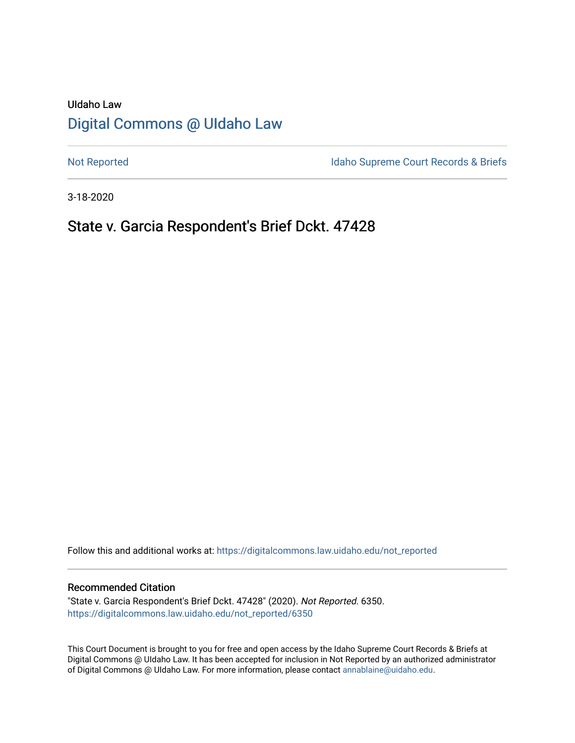# UIdaho Law [Digital Commons @ UIdaho Law](https://digitalcommons.law.uidaho.edu/)

[Not Reported](https://digitalcommons.law.uidaho.edu/not_reported) **Idaho Supreme Court Records & Briefs** 

3-18-2020

# State v. Garcia Respondent's Brief Dckt. 47428

Follow this and additional works at: [https://digitalcommons.law.uidaho.edu/not\\_reported](https://digitalcommons.law.uidaho.edu/not_reported?utm_source=digitalcommons.law.uidaho.edu%2Fnot_reported%2F6350&utm_medium=PDF&utm_campaign=PDFCoverPages) 

### Recommended Citation

"State v. Garcia Respondent's Brief Dckt. 47428" (2020). Not Reported. 6350. [https://digitalcommons.law.uidaho.edu/not\\_reported/6350](https://digitalcommons.law.uidaho.edu/not_reported/6350?utm_source=digitalcommons.law.uidaho.edu%2Fnot_reported%2F6350&utm_medium=PDF&utm_campaign=PDFCoverPages)

This Court Document is brought to you for free and open access by the Idaho Supreme Court Records & Briefs at Digital Commons @ UIdaho Law. It has been accepted for inclusion in Not Reported by an authorized administrator of Digital Commons @ UIdaho Law. For more information, please contact [annablaine@uidaho.edu](mailto:annablaine@uidaho.edu).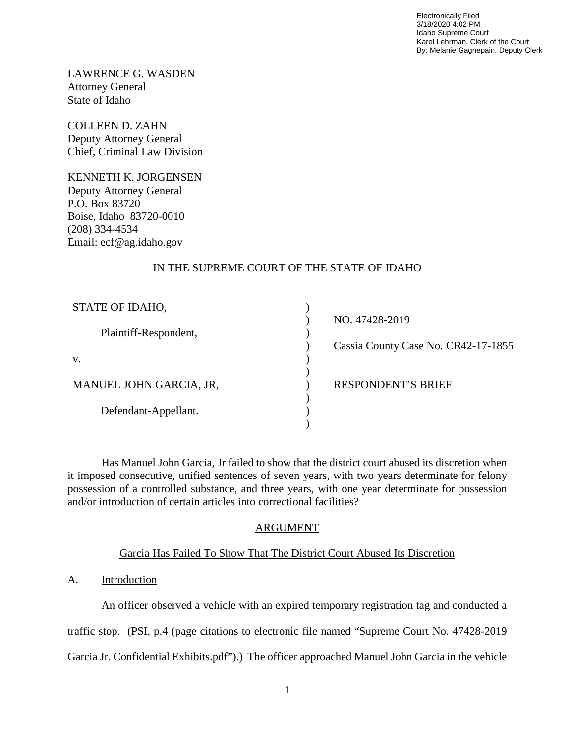Electronically Filed 3/18/2020 4:02 PM Idaho Supreme Court Karel Lehrman, Clerk of the Court By: Melanie Gagnepain, Deputy Clerk

LAWRENCE G. WASDEN Attorney General State of Idaho

COLLEEN D. ZAHN Deputy Attorney General Chief, Criminal Law Division

KENNETH K. JORGENSEN Deputy Attorney General P.O. Box 83720 Boise, Idaho 83720-0010 (208) 334-4534 Email: ecf@ag.idaho.gov

# IN THE SUPREME COURT OF THE STATE OF IDAHO

) ) ) ) ) ) ) ) ) )

| STATE OF IDAHO,         |
|-------------------------|
| Plaintiff-Respondent,   |
| V.                      |
| MANUEL JOHN GARCIA, JR, |
| Defendant-Appellant.    |

NO. 47428-2019

Cassia County Case No. CR42-17-1855

RESPONDENT'S BRIEF

Has Manuel John Garcia, Jr failed to show that the district court abused its discretion when it imposed consecutive, unified sentences of seven years, with two years determinate for felony possession of a controlled substance, and three years, with one year determinate for possession and/or introduction of certain articles into correctional facilities?

# ARGUMENT

# Garcia Has Failed To Show That The District Court Abused Its Discretion

# A. Introduction

An officer observed a vehicle with an expired temporary registration tag and conducted a

traffic stop. (PSI, p.4 (page citations to electronic file named "Supreme Court No. 47428-2019

Garcia Jr. Confidential Exhibits.pdf").) The officer approached Manuel John Garcia in the vehicle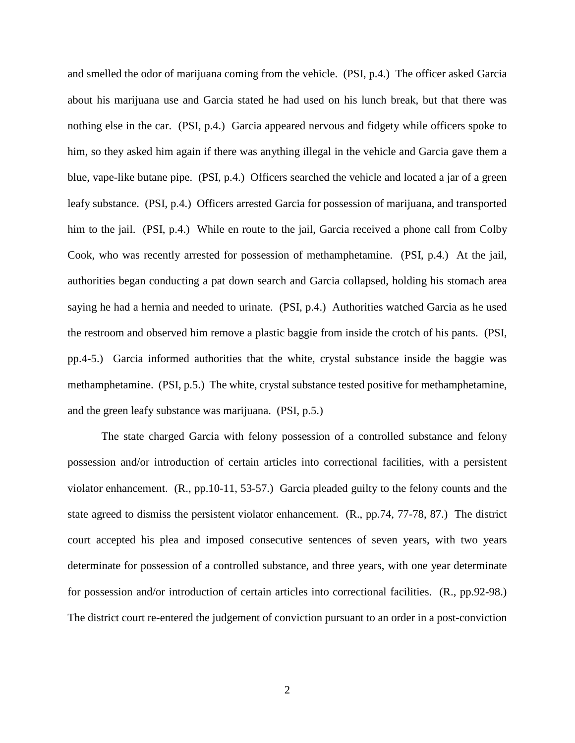and smelled the odor of marijuana coming from the vehicle. (PSI, p.4.) The officer asked Garcia about his marijuana use and Garcia stated he had used on his lunch break, but that there was nothing else in the car. (PSI, p.4.) Garcia appeared nervous and fidgety while officers spoke to him, so they asked him again if there was anything illegal in the vehicle and Garcia gave them a blue, vape-like butane pipe. (PSI, p.4.) Officers searched the vehicle and located a jar of a green leafy substance. (PSI, p.4.) Officers arrested Garcia for possession of marijuana, and transported him to the jail. (PSI, p.4.) While en route to the jail, Garcia received a phone call from Colby Cook, who was recently arrested for possession of methamphetamine. (PSI, p.4.) At the jail, authorities began conducting a pat down search and Garcia collapsed, holding his stomach area saying he had a hernia and needed to urinate. (PSI, p.4.) Authorities watched Garcia as he used the restroom and observed him remove a plastic baggie from inside the crotch of his pants. (PSI, pp.4-5.) Garcia informed authorities that the white, crystal substance inside the baggie was methamphetamine. (PSI, p.5.) The white, crystal substance tested positive for methamphetamine, and the green leafy substance was marijuana. (PSI, p.5.)

The state charged Garcia with felony possession of a controlled substance and felony possession and/or introduction of certain articles into correctional facilities, with a persistent violator enhancement. (R., pp.10-11, 53-57.) Garcia pleaded guilty to the felony counts and the state agreed to dismiss the persistent violator enhancement. (R., pp.74, 77-78, 87.) The district court accepted his plea and imposed consecutive sentences of seven years, with two years determinate for possession of a controlled substance, and three years, with one year determinate for possession and/or introduction of certain articles into correctional facilities. (R., pp.92-98.) The district court re-entered the judgement of conviction pursuant to an order in a post-conviction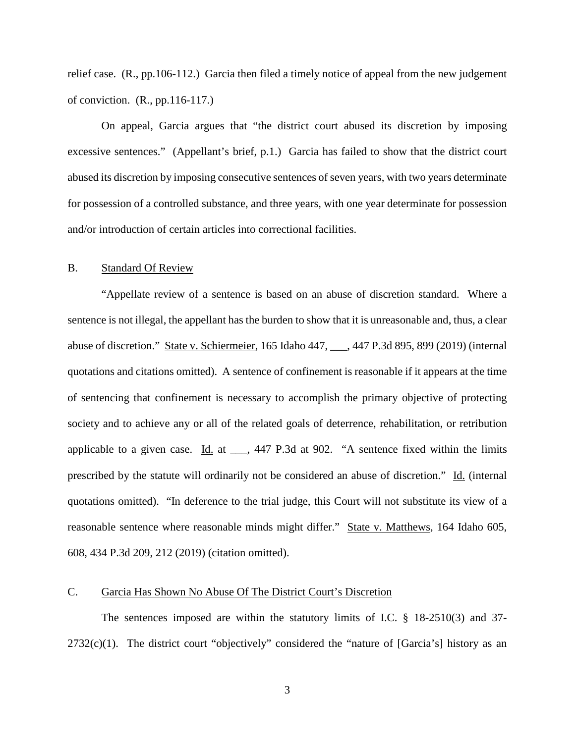relief case. (R., pp.106-112.) Garcia then filed a timely notice of appeal from the new judgement of conviction. (R., pp.116-117.)

On appeal, Garcia argues that "the district court abused its discretion by imposing excessive sentences." (Appellant's brief, p.1.) Garcia has failed to show that the district court abused its discretion by imposing consecutive sentences of seven years, with two years determinate for possession of a controlled substance, and three years, with one year determinate for possession and/or introduction of certain articles into correctional facilities.

### B. Standard Of Review

"Appellate review of a sentence is based on an abuse of discretion standard. Where a sentence is not illegal, the appellant has the burden to show that it is unreasonable and, thus, a clear abuse of discretion." State v. Schiermeier, 165 Idaho 447, \_\_\_, 447 P.3d 895, 899 (2019) (internal quotations and citations omitted). A sentence of confinement is reasonable if it appears at the time of sentencing that confinement is necessary to accomplish the primary objective of protecting society and to achieve any or all of the related goals of deterrence, rehabilitation, or retribution applicable to a given case.  $\underline{Id}$  at  $\underline{\hspace{1cm}}$ , 447 P.3d at 902. "A sentence fixed within the limits prescribed by the statute will ordinarily not be considered an abuse of discretion." Id. (internal quotations omitted). "In deference to the trial judge, this Court will not substitute its view of a reasonable sentence where reasonable minds might differ." State v. Matthews, 164 Idaho 605, 608, 434 P.3d 209, 212 (2019) (citation omitted).

#### C. Garcia Has Shown No Abuse Of The District Court's Discretion

The sentences imposed are within the statutory limits of I.C. § 18-2510(3) and 37-  $2732(c)(1)$ . The district court "objectively" considered the "nature of [Garcia's] history as an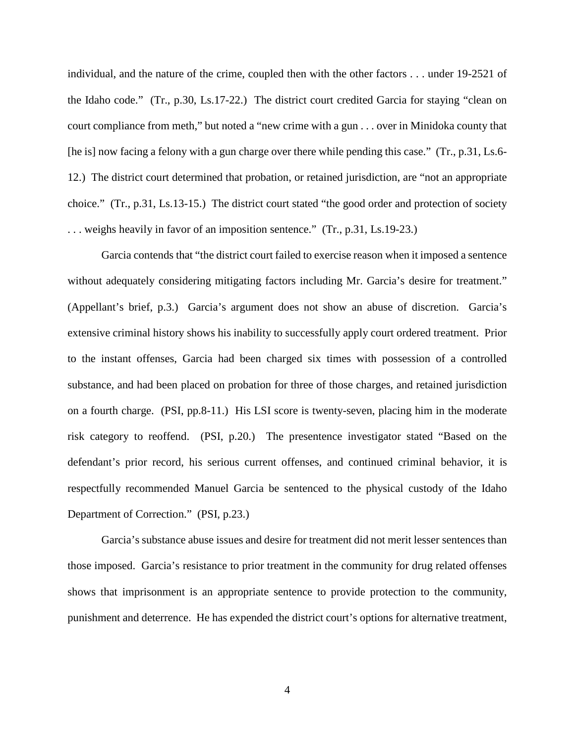individual, and the nature of the crime, coupled then with the other factors . . . under 19-2521 of the Idaho code." (Tr., p.30, Ls.17-22.) The district court credited Garcia for staying "clean on court compliance from meth," but noted a "new crime with a gun . . . over in Minidoka county that [he is] now facing a felony with a gun charge over there while pending this case." (Tr., p.31, Ls.6- 12.) The district court determined that probation, or retained jurisdiction, are "not an appropriate choice." (Tr., p.31, Ls.13-15.) The district court stated "the good order and protection of society . . . weighs heavily in favor of an imposition sentence." (Tr., p.31, Ls.19-23.)

Garcia contends that "the district court failed to exercise reason when it imposed a sentence without adequately considering mitigating factors including Mr. Garcia's desire for treatment." (Appellant's brief, p.3.) Garcia's argument does not show an abuse of discretion. Garcia's extensive criminal history shows his inability to successfully apply court ordered treatment. Prior to the instant offenses, Garcia had been charged six times with possession of a controlled substance, and had been placed on probation for three of those charges, and retained jurisdiction on a fourth charge. (PSI, pp.8-11.) His LSI score is twenty-seven, placing him in the moderate risk category to reoffend. (PSI, p.20.) The presentence investigator stated "Based on the defendant's prior record, his serious current offenses, and continued criminal behavior, it is respectfully recommended Manuel Garcia be sentenced to the physical custody of the Idaho Department of Correction." (PSI, p.23.)

Garcia's substance abuse issues and desire for treatment did not merit lesser sentences than those imposed. Garcia's resistance to prior treatment in the community for drug related offenses shows that imprisonment is an appropriate sentence to provide protection to the community, punishment and deterrence. He has expended the district court's options for alternative treatment,